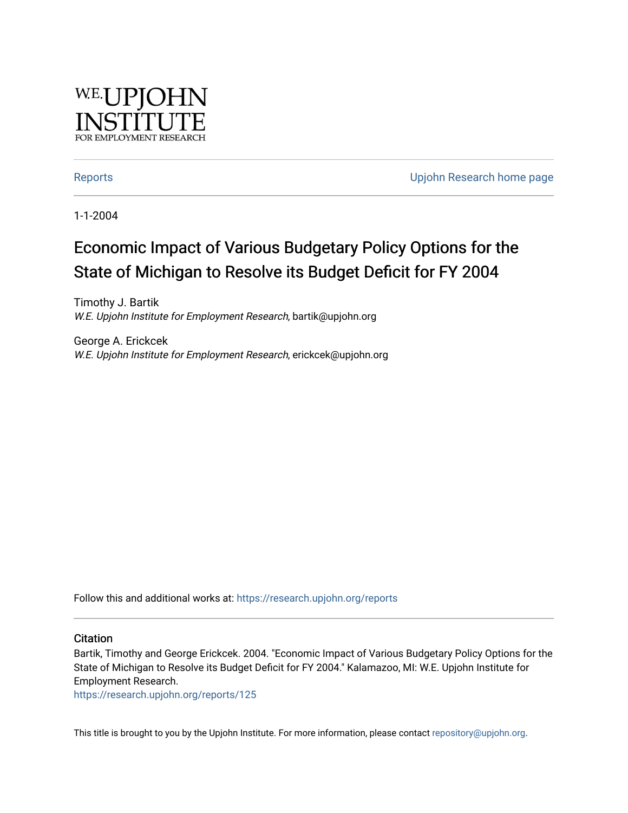

[Reports](https://research.upjohn.org/reports) **Example 20** Reports **CONFIDENTIAL RESEARCH HOME PAGE 2018** 

1-1-2004

# Economic Impact of Various Budgetary Policy Options for the State of Michigan to Resolve its Budget Deficit for FY 2004

Timothy J. Bartik W.E. Upjohn Institute for Employment Research, bartik@upjohn.org

George A. Erickcek W.E. Upjohn Institute for Employment Research, erickcek@upjohn.org

Follow this and additional works at: [https://research.upjohn.org/reports](https://research.upjohn.org/reports?utm_source=research.upjohn.org%2Freports%2F125&utm_medium=PDF&utm_campaign=PDFCoverPages) 

#### **Citation**

Bartik, Timothy and George Erickcek. 2004. "Economic Impact of Various Budgetary Policy Options for the State of Michigan to Resolve its Budget Deficit for FY 2004." Kalamazoo, MI: W.E. Upjohn Institute for Employment Research.

<https://research.upjohn.org/reports/125>

This title is brought to you by the Upjohn Institute. For more information, please contact [repository@upjohn.org](mailto:repository@upjohn.org).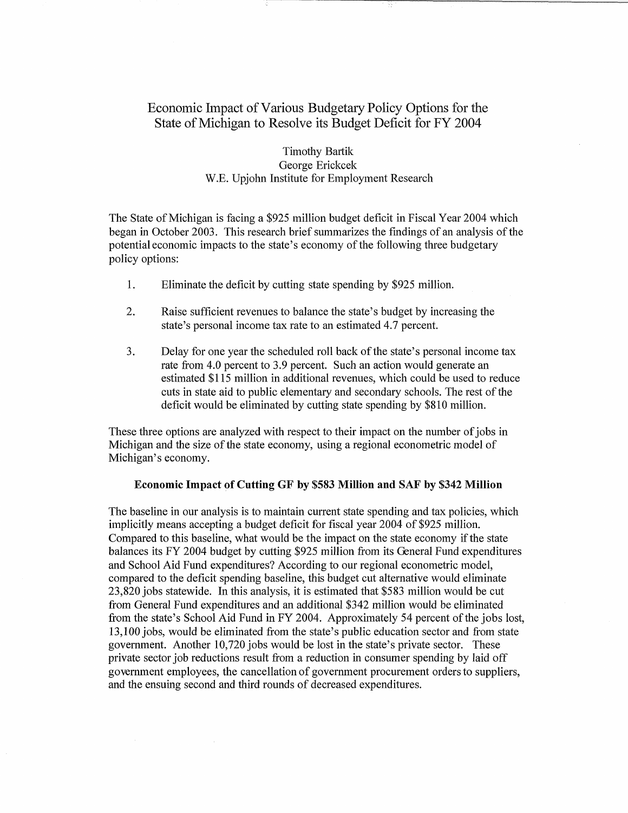## Economic Impact of Various Budgetary Policy Options for the State of Michigan to Resolve its Budget Deficit for FY 2004

Timothy Bartik George Erickcek W.E. Upjohn Institute for Employment Research

The State of Michigan is facing a \$925 million budget deficit in Fiscal Year 2004 which began in October 2003. This research brief summarizes the fmdings of an analysis of the potential economic impacts to the state's economy of the following three budgetary policy options:

- 1. Eliminate the deficit by cutting state spending by \$925 million.
- 2. Raise sufficient revenues to balance the state's budget by increasing the state's personal income tax rate to an estimated 4.7 percent.
- 3. Delay for one year the scheduled roll back of the state's personal income tax rate from 4.0 percent to 3.9 percent. Such an action would generate an estimated \$115 million in additional revenues, which could be used to reduce cuts in state aid to public elementary and secondary schools. The rest of the deficit would be eliminated by cutting state spending by \$810 million.

These three options are analyzed with respect to their impact on the number of jobs in Michigan and the size of the state economy, using a regional econometric model of Michigan's economy.

#### Economic Impact of Cutting GF by \$583 Million and SAF by \$342 Million

The baseline in our analysis is to maintain current state spending and tax policies, which implicitly means accepting a budget deficit for fiscal year 2004 of \$925 million. Compared to this baseline, what would be the impact on the state economy if the state balances its FY 2004 budget by cutting \$925 million from its General Fund expenditures and School Aid Fund expenditures? According to our regional econometric model, compared to the deficit spending baseline, this budget cut alternative would eliminate 23,820 jobs statewide. In this analysis, it is estimated that \$583 million would be cut from General Fund expenditures and an additional \$342 million would be eliminated from the state's School Aid Fund in FY 2004. Approximately 54 percent of the jobs lost, 13,100 jobs, would be eliminated from the state's public education sector and from state government. Another 10,720 jobs would be lost in the state's private sector. These private sector job reductions result from a reduction in consumer spending by laid off government employees, the cancellation of government procurement orders to suppliers, and the ensuing second and third rounds of decreased expenditures.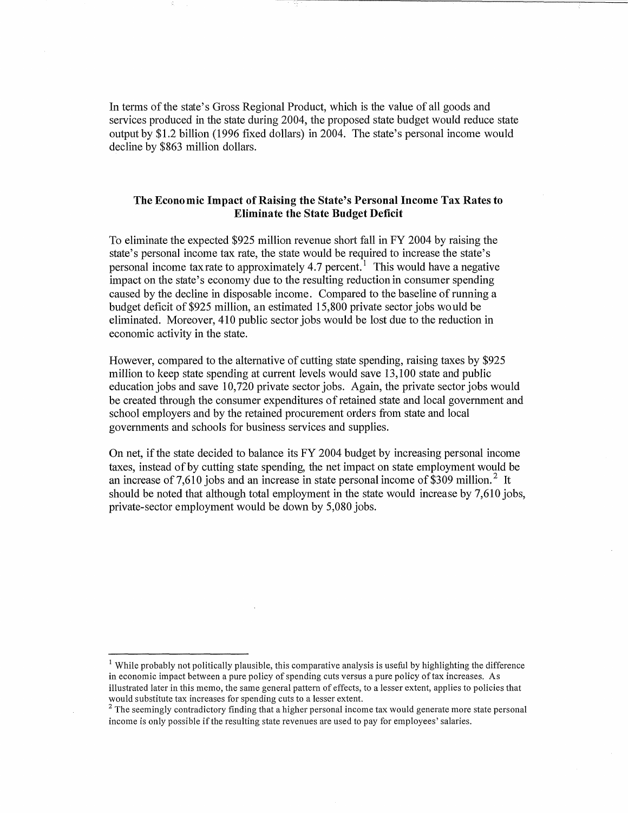In terms of the state's Gross Regional Product, which is the value of all goods and services produced in the state during 2004, the proposed state budget would reduce state output by \$1.2 billion (1996 fixed dollars) in 2004. The state's personal income would decline by \$863 million dollars.

### The Econo mic Impact of Raising the State's Personal Income Tax Rates to Eliminate the State Budget Deficit

To eliminate the expected \$925 million revenue short fall in FY 2004 by raising the state's personal income tax rate, the state would be required to increase the state's personal income tax rate to approximately 4.7 percent.<sup>1</sup> This would have a negative impact on the state's economy due to the resulting reduction in consumer spending caused by the decline in disposable income. Compared to the baseline of running a budget deficit of \$925 lnillion, an estimated 15,800 private sector jobs would be eliminated. Moreover, 410 public sector jobs would be lost due to the reduction in economic activity in the state.

However, compared to the alternative of cutting state spending, raising taxes by \$925 million to keep state spending at current levels would save 13,100 state and public education jobs and save 10,720 private sector jobs. Again, the private sector jobs would be created through the consumer expenditures of retained state and local government and school employers and by the retained procurement orders from state and local governments and schools for business services and supplies.

On net, if the state decided to balance its FY 2004 budget by increasing personal income taxes, instead of by cutting state spending, the net impact on state employment would be an increase of 7,610 jobs and an increase in state personal income of  $$309$  million.<sup>2</sup> It should be noted that although total employment in the state would increase by 7,610 jobs. private-sector employment would be down by 5,080 jobs.

<sup>&</sup>lt;sup>1</sup> While probably not politically plausible, this comparative analysis is useful by highlighting the difference in economic impact between a pure policy of spending cuts versus a pure policy of tax increases. As illustrated later in this memo, the same general pattern of effects, to a lesser extent, applies to policies that would substitute tax increases for spending cuts to a lesser extent.

 $<sup>2</sup>$  The seemingly contradictory finding that a higher personal income tax would generate more state personal</sup> income is only possible if the resulting state revenues are used to pay for employees' salaries.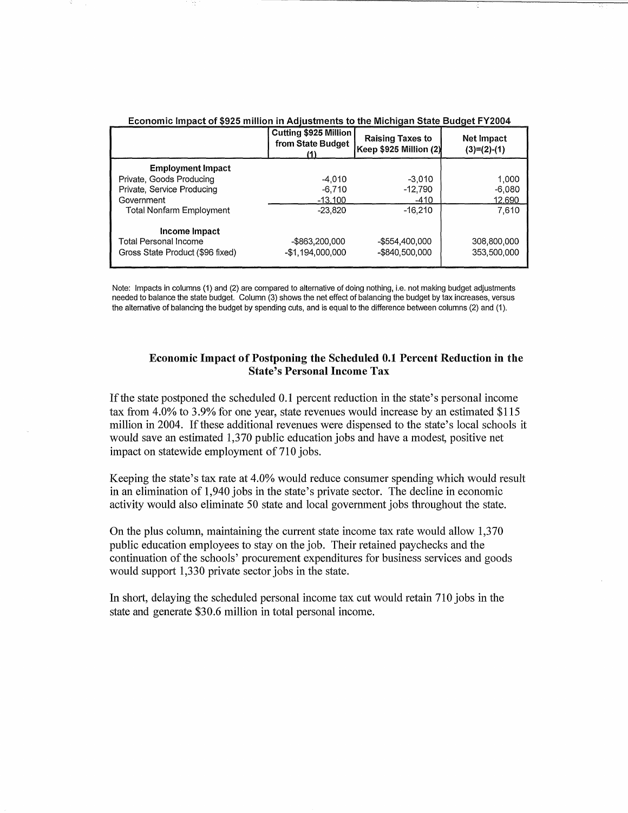| Economic Impact of \$925 million in Adjustments to the Michigan State Budget FY2004 |                                                   |                                                      |                             |  |
|-------------------------------------------------------------------------------------|---------------------------------------------------|------------------------------------------------------|-----------------------------|--|
|                                                                                     | Cutting \$925 Million<br>from State Budget<br>(1) | <b>Raising Taxes to</b><br>Keep $$925$ Million $(2)$ | Net Impact<br>$(3)=(2)-(1)$ |  |
| <b>Employment Impact</b>                                                            |                                                   |                                                      |                             |  |
| Private, Goods Producing                                                            | $-4.010$                                          | $-3.010$                                             | 1,000                       |  |
| Private, Service Producing                                                          | $-6,710$                                          | $-12,790$                                            | $-6,080$                    |  |
| Government                                                                          | $-13.100$                                         | $-410$                                               | 12,690                      |  |
| <b>Total Nonfarm Employment</b>                                                     | $-23.820$                                         | $-16.210$                                            | 7.610                       |  |
| Income Impact                                                                       |                                                   |                                                      |                             |  |
| Total Personal Income                                                               | -\$863,200,000                                    | -\$554,400,000                                       | 308,800,000                 |  |
| Gross State Product (\$96 fixed)                                                    | -\$1.194.000.000                                  | -\$840,500,000                                       | 353,500,000                 |  |

Note: Impacts in columns (1) and (2) are compared to alternative of doing nothing, i.e. not making budget adjustments needed to balance the state budget. Column (3) shows the net effect of balancing the budget by tax increases, versus the alternative of balancing the budget by spending cuts, and is equal to the difference between columns (2) and (1).

#### Economic Impact of Postponing the Scheduled 0.1 Percent Reduction in the State's Personal Income Tax

lfthe state postponed the scheduled 0.1 percent reduction in the state's personal income tax from 4.0% to 3.9% for one year, state revenues would increase by an estimated \$115 million in 2004. If these additional revenues were dispensed to the state's local schools it would save an estimated 1,370 public education jobs and have a modest, positive net impact on statewide employment of 710 jobs.

Keeping the state's tax rate at 4.0% would reduce consumer spending which would result in an elimination of 1,940 jobs in the state's private sector. The decline in economic activity would also eliminate 50 state and local government jobs throughout the state.

On the plus column, maintaining the current state income tax rate would allow 1,370 public education employees to stay on the job. Their retained paychecks and the continuation of the schools' procurement expenditures for business services and goods would support 1,330 private sector jobs in the state.

In short, delaying the scheduled personal income tax cut would retain 710 jobs in the state and generate \$30.6 million in total personal income.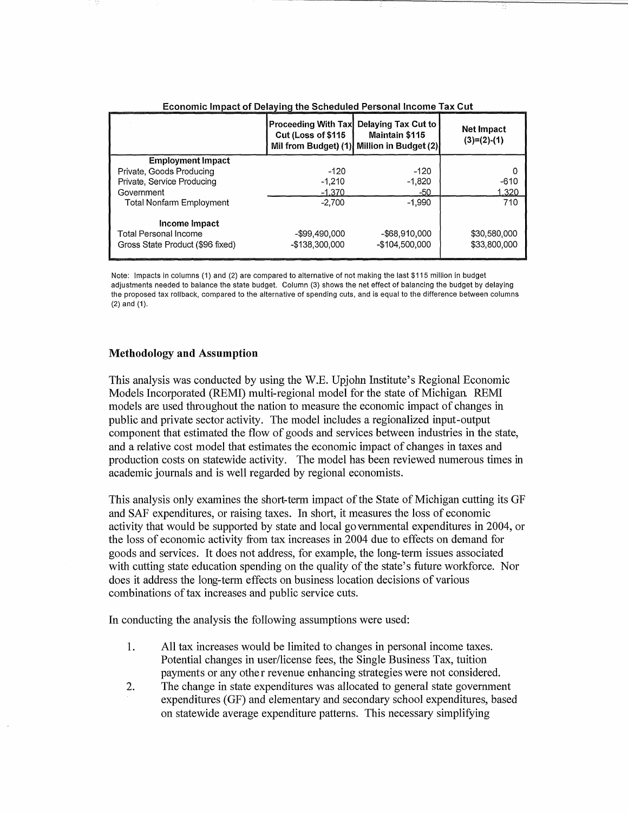| Loonomo impact of Dolaying the Ocheaaled Fersonal moonie Tax Out                  |                                                                          |                                                                       |                              |  |
|-----------------------------------------------------------------------------------|--------------------------------------------------------------------------|-----------------------------------------------------------------------|------------------------------|--|
|                                                                                   | <b>Proceeding With Tax</b><br>Cut (Loss of \$115<br>Mil from Budget) (1) | Delaying Tax Cut to<br><b>Maintain \$115</b><br>Million in Budget (2) | Net Impact<br>$(3)=(2)-(1)$  |  |
| <b>Employment Impact</b>                                                          |                                                                          |                                                                       |                              |  |
| Private, Goods Producing                                                          | $-120$                                                                   | $-120$                                                                |                              |  |
| Private, Service Producing                                                        | $-1,210$                                                                 | $-1.820$                                                              | $-610$                       |  |
| Government                                                                        | $-1.370$                                                                 | -50                                                                   | 1.320                        |  |
| <b>Total Nonfarm Employment</b>                                                   | $-2.700$                                                                 | $-1.990$                                                              | 710                          |  |
| Income Impact<br><b>Total Personal Income</b><br>Gross State Product (\$96 fixed) | -\$99,490,000<br>-\$138,300,000                                          | -\$68,910,000<br>-\$104,500,000                                       | \$30,580,000<br>\$33,800,000 |  |

Economic Impact of Delaying the Scheduled Personal Income Tax Cut

Note: Impacts in columns (1) and (2) are compared to alternative of not making the last \$115 million in budget adjustments needed to balance the state budget. Column (3) shows the net effect of balancing the budget by delaying the proposed tax rollback, compared to the alternative of spending cuts, and is equal to the difference between columns (2) and (1).

#### Methodology and Assumption

This analysis was conducted by using the W.E. Upjohn Institute's Regional Economic Models Incorporated (REMI) multi-regional model for the state of Michigan REMI models are used throughout the nation to measure the economic impact of changes in public and private sector activity. The model includes a regionalized input-output component that estimated the flow of goods and services between industries in the state, and a relative cost model that estimates the economic impact of changes in taxes and production costs on statewide activity. The model has been reviewed numerous times in academic journals and is well regarded by regional economists.

This analysis only examines the short-term impact of the State of Michigan cutting its GF and SAP expenditures, or raising taxes. In short, it measures the loss of economic activity that would be supported by state and local go vernmental expenditures in 2004, or the loss of economic activity from tax increases in 2004 due to effects on demand for goods and services. It does not address, for example, the long-term issues associated with cutting state education spending on the quality of the state's future workforce. Nor does it address the long-term effects on business location decisions of various combinations of tax increases and public service cuts.

In conducting the analysis the following assumptions were used:

- 1. All tax increases would be limited to changes in personal income taxes. Potential changes in user/license fees, the Single Business Tax, tuition payments or any othe r revenue enhancing strategies were not considered.
- 2. The change in state expenditures was allocated to general state government expenditures (GF) and elementary and secondary school expenditures, based on statewide average expenditure patterns. This necessary simplifying